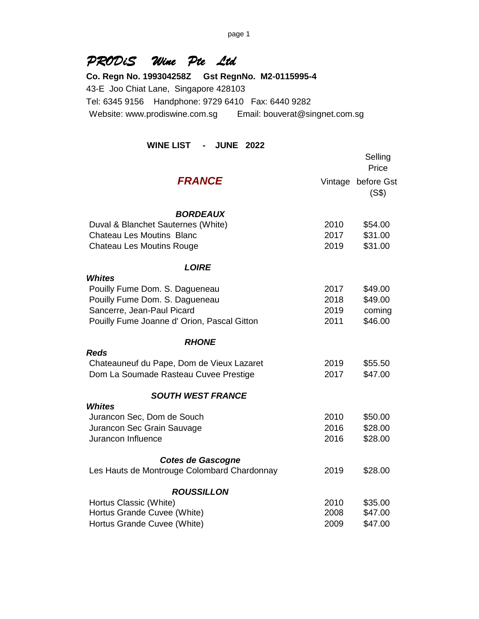# *PRODiS Wine Pte Ltd*

**Co. Regn No. 199304258Z Gst RegnNo. M2-0115995-4** 43-E Joo Chiat Lane, Singapore 428103 Tel: 6345 9156 Handphone: 9729 6410 Fax: 6440 9282 Website: www.prodiswine.com.sg Email: bouverat@singnet.com.sg

## **WINE LIST - JUNE 2022**

|                                             |         | Selling<br>Price    |
|---------------------------------------------|---------|---------------------|
| <b>FRANCE</b>                               | Vintage | before Gst<br>(S\$) |
| <b>BORDEAUX</b>                             |         |                     |
| Duval & Blanchet Sauternes (White)          | 2010    | \$54.00             |
| <b>Chateau Les Moutins Blanc</b>            | 2017    | \$31.00             |
| <b>Chateau Les Moutins Rouge</b>            | 2019    | \$31.00             |
| <b>LOIRE</b>                                |         |                     |
| <b>Whites</b>                               |         |                     |
| Pouilly Fume Dom. S. Dagueneau              | 2017    | \$49.00             |
| Pouilly Fume Dom. S. Dagueneau              | 2018    | \$49.00             |
| Sancerre, Jean-Paul Picard                  | 2019    | coming              |
| Pouilly Fume Joanne d' Orion, Pascal Gitton | 2011    | \$46.00             |
| <b>RHONE</b>                                |         |                     |
| <b>Reds</b>                                 |         |                     |
| Chateauneuf du Pape, Dom de Vieux Lazaret   | 2019    | \$55.50             |
| Dom La Soumade Rasteau Cuvee Prestige       | 2017    | \$47.00             |
| <b>SOUTH WEST FRANCE</b>                    |         |                     |
| <b>Whites</b>                               |         |                     |
| Jurancon Sec, Dom de Souch                  | 2010    | \$50.00             |
| Jurancon Sec Grain Sauvage                  | 2016    | \$28.00             |
| Jurancon Influence                          | 2016    | \$28.00             |
| <b>Cotes de Gascogne</b>                    |         |                     |
| Les Hauts de Montrouge Colombard Chardonnay | 2019    | \$28.00             |
| <b>ROUSSILLON</b>                           |         |                     |
| Hortus Classic (White)                      | 2010    | \$35.00             |
| Hortus Grande Cuvee (White)                 | 2008    | \$47.00             |
| Hortus Grande Cuvee (White)                 | 2009    | \$47.00             |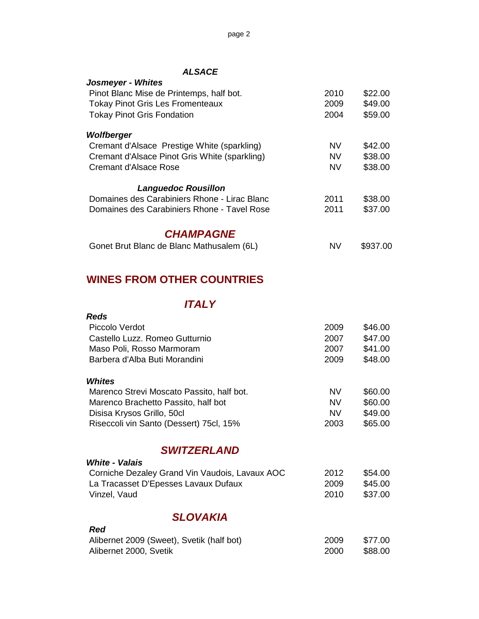#### *ALSACE*

| Josmeyer - Whites                                                          |           |          |
|----------------------------------------------------------------------------|-----------|----------|
| Pinot Blanc Mise de Printemps, half bot.                                   | 2010      | \$22.00  |
| <b>Tokay Pinot Gris Les Fromenteaux</b>                                    | 2009      | \$49.00  |
| <b>Tokay Pinot Gris Fondation</b>                                          | 2004      | \$59.00  |
|                                                                            |           |          |
| Wolfberger                                                                 |           |          |
| Cremant d'Alsace Prestige White (sparkling)                                | <b>NV</b> | \$42.00  |
| Cremant d'Alsace Pinot Gris White (sparkling)                              | <b>NV</b> | \$38.00  |
| Cremant d'Alsace Rose                                                      | <b>NV</b> | \$38.00  |
|                                                                            |           |          |
| <b>Languedoc Rousillon</b><br>Domaines des Carabiniers Rhone - Lirac Blanc | 2011      |          |
|                                                                            |           | \$38.00  |
| Domaines des Carabiniers Rhone - Tavel Rose                                | 2011      | \$37.00  |
| <b>CHAMPAGNE</b>                                                           |           |          |
| Gonet Brut Blanc de Blanc Mathusalem (6L)                                  | <b>NV</b> | \$937.00 |
|                                                                            |           |          |
| <b>WINES FROM OTHER COUNTRIES</b>                                          |           |          |
|                                                                            |           |          |
| <b>ITALY</b>                                                               |           |          |
| <b>Reds</b>                                                                |           |          |
| Piccolo Verdot                                                             | 2009      | \$46.00  |
| Castello Luzz. Romeo Gutturnio                                             | 2007      | \$47.00  |
| Maso Poli, Rosso Marmoram                                                  | 2007      | \$41.00  |
| Barbera d'Alba Buti Morandini                                              | 2009      | \$48.00  |
|                                                                            |           |          |
| <b>Whites</b>                                                              |           |          |
| Marenco Strevi Moscato Passito, half bot.                                  | <b>NV</b> | \$60.00  |
| Marenco Brachetto Passito, half bot                                        | <b>NV</b> | \$60.00  |
| Disisa Krysos Grillo, 50cl                                                 | <b>NV</b> | \$49.00  |
| Riseccoli vin Santo (Dessert) 75cl, 15%                                    | 2003      | \$65.00  |
|                                                                            |           |          |
| <b>SWITZERLAND</b>                                                         |           |          |
| <b>White - Valais</b>                                                      |           |          |
| Corniche Dezaley Grand Vin Vaudois, Lavaux AOC                             | 2012      | \$54.00  |
| La Tracasset D'Epesses Lavaux Dufaux                                       | 2009      | \$45.00  |
| Vinzel, Vaud                                                               | 2010      | \$37.00  |
| <b>SLOVAKIA</b>                                                            |           |          |
| Red                                                                        |           |          |
| Alibernet 2009 (Sweet), Svetik (half bot)                                  | 2009      | \$77.00  |
| Alibernet 2000, Svetik                                                     | 2000      | \$88.00  |
|                                                                            |           |          |